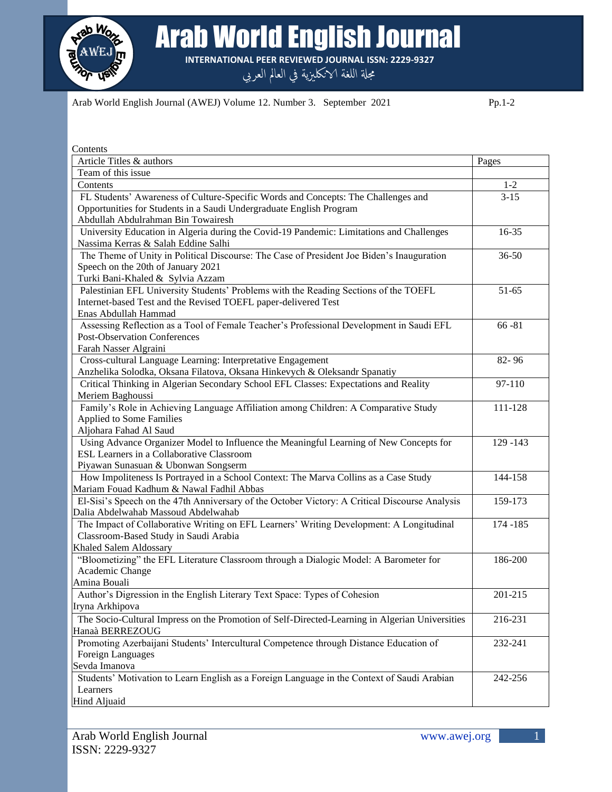

Arab World English Journal

**INTERNATIONAL PEER REVIEWED JOURNAL ISSN: 2229-9327**

مجلة اللغة الانكليزية في العالم العربي

Arab World English Journal (AWEJ) Volume 12. Number 3. September 2021 Pp.1-2

| Contents                                                                                                               |           |
|------------------------------------------------------------------------------------------------------------------------|-----------|
| Article Titles & authors                                                                                               | Pages     |
| Team of this issue                                                                                                     |           |
| Contents                                                                                                               | $1 - 2$   |
| FL Students' Awareness of Culture-Specific Words and Concepts: The Challenges and                                      | $3 - 15$  |
| Opportunities for Students in a Saudi Undergraduate English Program                                                    |           |
| Abdullah Abdulrahman Bin Towairesh                                                                                     |           |
| University Education in Algeria during the Covid-19 Pandemic: Limitations and Challenges                               | $16 - 35$ |
| Nassima Kerras & Salah Eddine Salhi                                                                                    |           |
| The Theme of Unity in Political Discourse: The Case of President Joe Biden's Inauguration                              | $36 - 50$ |
| Speech on the 20th of January 2021                                                                                     |           |
| Turki Bani-Khaled & Sylvia Azzam                                                                                       |           |
| Palestinian EFL University Students' Problems with the Reading Sections of the TOEFL                                   | $51 - 65$ |
| Internet-based Test and the Revised TOEFL paper-delivered Test                                                         |           |
| Enas Abdullah Hammad                                                                                                   |           |
| Assessing Reflection as a Tool of Female Teacher's Professional Development in Saudi EFL                               | $66 - 81$ |
| <b>Post-Observation Conferences</b>                                                                                    |           |
| Farah Nasser Algraini                                                                                                  |           |
| Cross-cultural Language Learning: Interpretative Engagement                                                            | 82-96     |
| Anzhelika Solodka, Oksana Filatova, Oksana Hinkevych & Oleksandr Spanatiy                                              |           |
| Critical Thinking in Algerian Secondary School EFL Classes: Expectations and Reality                                   | 97-110    |
| Meriem Baghoussi                                                                                                       |           |
| Family's Role in Achieving Language Affiliation among Children: A Comparative Study<br><b>Applied to Some Families</b> | 111-128   |
| Aljohara Fahad Al Saud                                                                                                 |           |
| Using Advance Organizer Model to Influence the Meaningful Learning of New Concepts for                                 | 129 - 143 |
| ESL Learners in a Collaborative Classroom                                                                              |           |
| Piyawan Sunasuan & Ubonwan Songserm                                                                                    |           |
| How Impoliteness Is Portrayed in a School Context: The Marva Collins as a Case Study                                   | 144-158   |
| Mariam Fouad Kadhum & Nawal Fadhil Abbas                                                                               |           |
| El-Sisi's Speech on the 47th Anniversary of the October Victory: A Critical Discourse Analysis                         | 159-173   |
| Dalia Abdelwahab Massoud Abdelwahab                                                                                    |           |
| The Impact of Collaborative Writing on EFL Learners' Writing Development: A Longitudinal                               | 174 - 185 |
| Classroom-Based Study in Saudi Arabia                                                                                  |           |
| Khaled Salem Aldossary                                                                                                 |           |
| "Bloometizing" the EFL Literature Classroom through a Dialogic Model: A Barometer for                                  | 186-200   |
| Academic Change                                                                                                        |           |
| Amina Bouali                                                                                                           |           |
| Author's Digression in the English Literary Text Space: Types of Cohesion                                              | 201-215   |
| Iryna Arkhipova                                                                                                        |           |
| The Socio-Cultural Impress on the Promotion of Self-Directed-Learning in Algerian Universities                         | 216-231   |
| Hanaà BERREZOUG                                                                                                        |           |
| Promoting Azerbaijani Students' Intercultural Competence through Distance Education of                                 | 232-241   |
| Foreign Languages                                                                                                      |           |
| Sevda Imanova                                                                                                          |           |
| Students' Motivation to Learn English as a Foreign Language in the Context of Saudi Arabian                            | 242-256   |
| Learners                                                                                                               |           |
| Hind Aljuaid                                                                                                           |           |